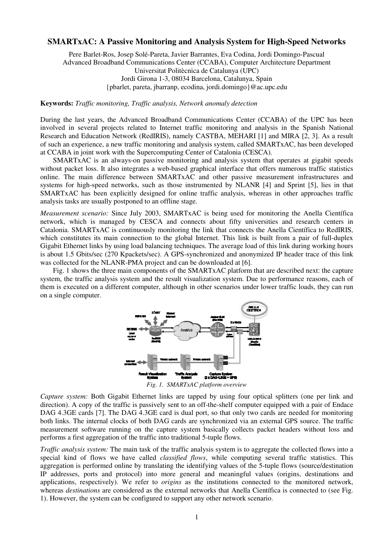## **SMARTxAC: A Passive Monitoring and Analysis System for High-Speed Networks**

Pere Barlet-Ros, Josep Solé-Pareta, Javier Barrantes, Eva Codina, Jordi Domingo-Pascual Advanced Broadband Communications Center (CCABA), Computer Architecture Department Universitat Politècnica de Catalunya (UPC) Jordi Girona 1-3, 08034 Barcelona, Catalunya, Spain {pbarlet, pareta, jbarranp, ecodina, jordi.domingo}@ac.upc.edu

**Keywords:** *Traffic monitoring, Traffic analysis, Network anomaly detection*

During the last years, the Advanced Broadband Communications Center (CCABA) of the UPC has been involved in several projects related to Internet traffic monitoring and analysis in the Spanish National Research and Education Network (RedIRIS), namely CASTBA, MEHARI [1] and MIRA [2, 3]. As a result of such an experience, a new traffic monitoring and analysis system, called SMARTxAC, has been developed at CCABA in joint work with the Supercomputing Center of Catalonia (CESCA).

SMARTxAC is an always-on passive monitoring and analysis system that operates at gigabit speeds without packet loss. It also integrates a web-based graphical interface that offers numerous traffic statistics online. The main difference between SMARTxAC and other passive measurement infrastructures and systems for high-speed networks, such as those instrumented by NLANR [4] and Sprint [5], lies in that SMARTxAC has been explicitly designed for online traffic analysis, whereas in other approaches traffic analysis tasks are usually postponed to an offline stage.

*Measurement scenario:* Since July 2003, SMARTxAC is being used for monitoring the Anella Científica network, which is managed by CESCA and connects about fifty universities and research centers in Catalonia. SMARTxAC is continuously monitoring the link that connects the Anella Científica to RedIRIS, which constitutes its main connection to the global Internet. This link is built from a pair of full-duplex Gigabit Ethernet links by using load balancing techniques. The average load of this link during working hours is about 1.5 Gbits/sec (270 Kpackets/sec). A GPS-synchronized and anonymized IP header trace of this link was collected for the NLANR-PMA project and can be downloaded at [6].

Fig. 1 shows the three main components of the SMARTxAC platform that are described next: the capture system, the traffic analysis system and the result visualization system. Due to performance reasons, each of them is executed on a different computer, although in other scenarios under lower traffic loads, they can run on a single computer.



*Fig. 1. SMARTxAC platform overview*

*Capture system:* Both Gigabit Ethernet links are tapped by using four optical splitters (one per link and direction). A copy of the traffic is passively sent to an off-the-shelf computer equipped with a pair of Endace DAG 4.3GE cards [7]. The DAG 4.3GE card is dual port, so that only two cards are needed for monitoring both links. The internal clocks of both DAG cards are synchronized via an external GPS source. The traffic measurement software running on the capture system basically collects packet headers without loss and performs a first aggregation of the traffic into traditional 5-tuple flows.

*Traffic analysis system:* The main task of the traffic analysis system is to aggregate the collected flows into a special kind of flows we have called *classified flows*, while computing several traffic statistics. This aggregation is performed online by translating the identifying values of the 5-tuple flows (source/destination IP addresses, ports and protocol) into more general and meaningful values (origins, destinations and applications, respectively). We refer to *origins* as the institutions connected to the monitored network, whereas *destinations* are considered as the external networks that Anella Científica is connected to (see Fig. 1). However, the system can be configured to support any other network scenario.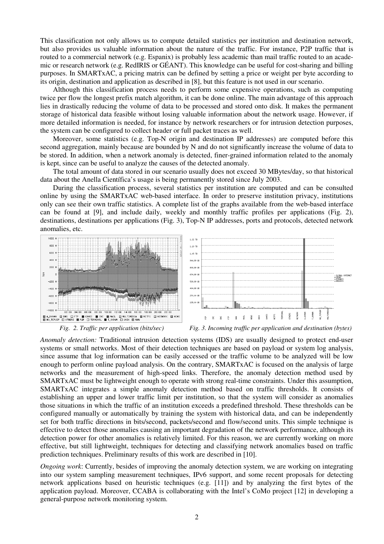This classification not only allows us to compute detailed statistics per institution and destination network, but also provides us valuable information about the nature of the traffic. For instance, P2P traffic that is routed to a commercial network (e.g. Espanix) is probably less academic than mail traffic routed to an academic or research network (e.g. RedIRIS or GÉANT). This knowledge can be useful for cost-sharing and billing purposes. In SMARTxAC, a pricing matrix can be defined by setting a price or weight per byte according to its origin, destination and application as described in [8], but this feature is not used in our scenario.

Although this classification process needs to perform some expensive operations, such as computing twice per flow the longest prefix match algorithm, it can be done online. The main advantage of this approach lies in drastically reducing the volume of data to be processed and stored onto disk. It makes the permanent storage of historical data feasible without losing valuable information about the network usage. However, if more detailed information is needed, for instance by network researchers or for intrusion detection purposes, the system can be configured to collect header or full packet traces as well.

Moreover, some statistics (e.g. Top-N origin and destination IP addresses) are computed before this second aggregation, mainly because are bounded by N and do not significantly increase the volume of data to be stored. In addition, when a network anomaly is detected, finer-grained information related to the anomaly is kept, since can be useful to analyze the causes of the detected anomaly.

The total amount of data stored in our scenario usually does not exceed 30 MBytes/day, so that historical data about the Anella Científica's usage is being permanently stored since July 2003.

During the classification process, several statistics per institution are computed and can be consulted online by using the SMARTxAC web-based interface. In order to preserve institution privacy, institutions only can see their own traffic statistics. A complete list of the graphs available from the web-based interface can be found at [9], and include daily, weekly and monthly traffic profiles per applications (Fig. 2), destinations, destinations per applications (Fig. 3), Top-N IP addresses, ports and protocols, detected network anomalies, etc.







*Fig. 2. Traffic per application (bits/sec) Fig. 3. Incoming traffic per application and destination (bytes)*

*Anomaly detection:* Traditional intrusion detection systems (IDS) are usually designed to protect end-user systems or small networks. Most of their detection techniques are based on payload or system log analysis, since assume that log information can be easily accessed or the traffic volume to be analyzed will be low enough to perform online payload analysis. On the contrary, SMARTxAC is focused on the analysis of large networks and the measurement of high-speed links. Therefore, the anomaly detection method used by SMARTxAC must be lightweight enough to operate with strong real-time constraints. Under this assumption, SMARTxAC integrates a simple anomaly detection method based on traffic thresholds. It consists of establishing an upper and lower traffic limit per institution, so that the system will consider as anomalies those situations in which the traffic of an institution exceeds a predefined threshold. These thresholds can be configured manually or automatically by training the system with historical data, and can be independently set for both traffic directions in bits/second, packets/second and flow/second units. This simple technique is effective to detect those anomalies causing an important degradation of the network performance, although its detection power for other anomalies is relatively limited. For this reason, we are currently working on more effective, but still lightweight, techniques for detecting and classifying network anomalies based on traffic prediction techniques. Preliminary results of this work are described in [10].

*Ongoing work*: Currently, besides of improving the anomaly detection system, we are working on integrating into our system sampling measurement techniques, IPv6 support, and some recent proposals for detecting network applications based on heuristic techniques (e.g. [11]) and by analyzing the first bytes of the application payload. Moreover, CCABA is collaborating with the Intel's CoMo project [12] in developing a general-purpose network monitoring system.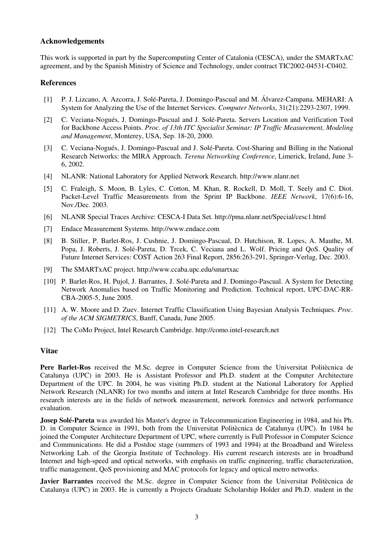## **Acknowledgements**

This work is supported in part by the Supercomputing Center of Catalonia (CESCA), under the SMARTxAC agreement, and by the Spanish Ministry of Science and Technology, under contract TIC2002-04531-C0402.

## **References**

- [1] P. J. Lizcano, A. Azcorra, J. Solé-Pareta, J. Domingo-Pascual and M. Álvarez-Campana. MEHARI: A System for Analyzing the Use of the Internet Services. *Computer Networks*, 31(21):2293-2307, 1999.
- [2] C. Veciana-Nogués, J. Domingo-Pascual and J. Solé-Pareta. Servers Location and Verification Tool for Backbone Access Points. *Proc. of 13th ITC Specialist Seminar: IP Traffic Measurement, Modeling and Management*, Monterey, USA, Sep. 18-20, 2000.
- [3] C. Veciana-Nogués, J. Domingo-Pascual and J. Solé-Pareta. Cost-Sharing and Billing in the National Research Networks: the MIRA Approach. *Terena Networking Conference*, Limerick, Ireland, June 3- 6, 2002.
- [4] NLANR: National Laboratory for Applied Network Research. http://www.nlanr.net
- [5] C. Fraleigh, S. Moon, B. Lyles, C. Cotton, M. Khan, R. Rockell, D. Moll, T. Seely and C. Diot. Packet-Level Traffic Measurements from the Sprint IP Backbone. *IEEE Network*, 17(6):6-16, Nov./Dec. 2003.
- [6] NLANR Special Traces Archive: CESCA-I Data Set. http://pma.nlanr.net/Special/cesc1.html
- [7] Endace Measurement Systems. http://www.endace.com
- [8] B. Stiller, P. Barlet-Ros, J. Cushnie, J. Domingo-Pascual, D. Hutchison, R. Lopes, A. Mauthe, M. Popa, J. Roberts, J. Solé-Pareta, D. Trcek, C. Veciana and L. Wolf. Pricing and QoS. Quality of Future Internet Services: COST Action 263 Final Report, 2856:263-291, Springer-Verlag, Dec. 2003.
- [9] The SMARTxAC project. http://www.ccaba.upc.edu/smartxac
- [10] P. Barlet-Ros, H. Pujol, J. Barrantes, J. Solé-Pareta and J. Domingo-Pascual. A System for Detecting Network Anomalies based on Traffic Monitoring and Prediction. Technical report, UPC-DAC-RR-CBA-2005-5, June 2005.
- [11] A. W. Moore and D. Zuev. Internet Traffic Classification Using Bayesian Analysis Techniques. *Proc. of the ACM SIGMETRICS*, Banff, Canada, June 2005.
- [12] The CoMo Project, Intel Research Cambridge. http://como.intel-research.net

## **Vitae**

**Pere Barlet-Ros** received the M.Sc. degree in Computer Science from the Universitat Politècnica de Catalunya (UPC) in 2003. He is Assistant Professor and Ph.D. student at the Computer Architecture Department of the UPC. In 2004, he was visiting Ph.D. student at the National Laboratory for Applied Network Research (NLANR) for two months and intern at Intel Research Cambridge for three months. His research interests are in the fields of network measurement, network forensics and network performance evaluation.

**Josep Solé-Pareta** was awarded his Master's degree in Telecommunication Engineering in 1984, and his Ph. D. in Computer Science in 1991, both from the Universitat Politècnica de Catalunya (UPC). In 1984 he joined the Computer Architecture Department of UPC, where currently is Full Professor in Computer Science and Communications. He did a Postdoc stage (summers of 1993 and 1994) at the Broadband and Wireless Networking Lab. of the Georgia Institute of Technology. His current research interests are in broadband Internet and high-speed and optical networks, with emphasis on traffic engineering, traffic characterization, traffic management, QoS provisioning and MAC protocols for legacy and optical metro networks.

**Javier Barrantes** received the M.Sc. degree in Computer Science from the Universitat Politècnica de Catalunya (UPC) in 2003. He is currently a Projects Graduate Scholarship Holder and Ph.D. student in the